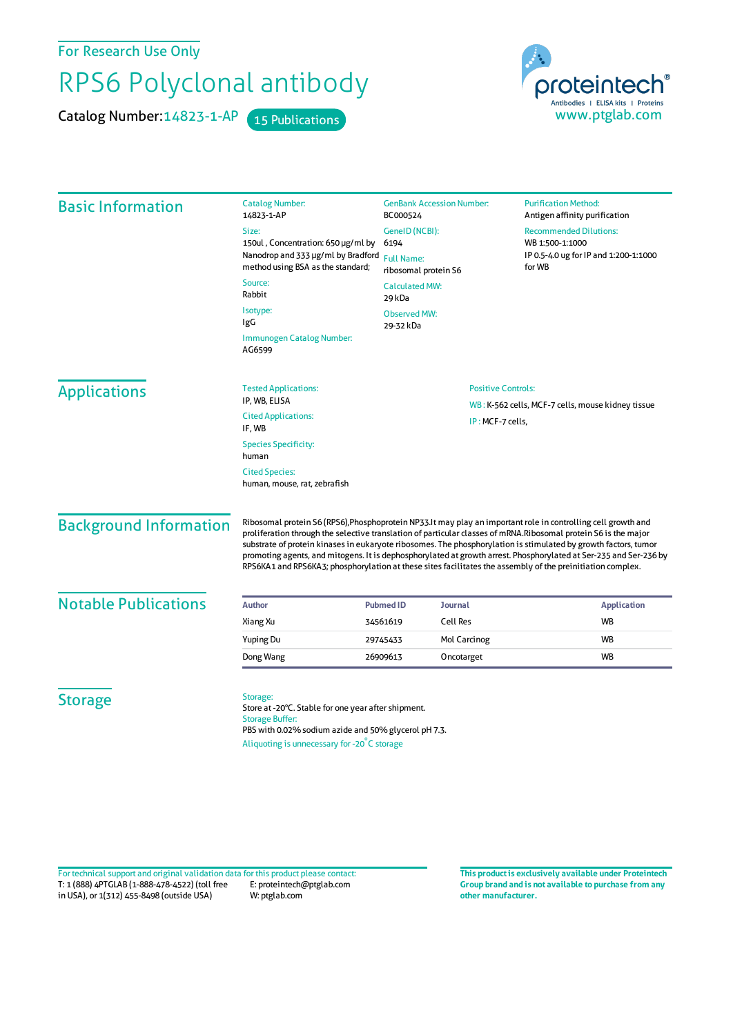For Research Use Only

## RPS6 Polyclonal antibody

Catalog Number: 14823-1-AP 15 Publications



| <b>Basic Information</b>      | <b>Catalog Number:</b><br>14823-1-AP                                                                                                                                                                                                                                                                                                                                                                                                                                                                                                                                                    | <b>GenBank Accession Number:</b><br>BC000524                          |                           | <b>Purification Method:</b><br>Antigen affinity purification       |
|-------------------------------|-----------------------------------------------------------------------------------------------------------------------------------------------------------------------------------------------------------------------------------------------------------------------------------------------------------------------------------------------------------------------------------------------------------------------------------------------------------------------------------------------------------------------------------------------------------------------------------------|-----------------------------------------------------------------------|---------------------------|--------------------------------------------------------------------|
|                               | Size:                                                                                                                                                                                                                                                                                                                                                                                                                                                                                                                                                                                   | GenelD (NCBI):                                                        |                           | <b>Recommended Dilutions:</b>                                      |
|                               | 150ul, Concentration: 650 µg/ml by<br>Nanodrop and 333 µg/ml by Bradford                                                                                                                                                                                                                                                                                                                                                                                                                                                                                                                | 6194<br><b>Full Name:</b><br>ribosomal protein S6                     |                           | WB 1:500-1:1000<br>IP 0.5-4.0 ug for IP and 1:200-1:1000<br>for WB |
|                               | method using BSA as the standard;                                                                                                                                                                                                                                                                                                                                                                                                                                                                                                                                                       |                                                                       |                           |                                                                    |
|                               | Source:<br>Rabbit                                                                                                                                                                                                                                                                                                                                                                                                                                                                                                                                                                       | <b>Calculated MW:</b><br>29 kDa                                       |                           |                                                                    |
|                               | Isotype:<br>IgG                                                                                                                                                                                                                                                                                                                                                                                                                                                                                                                                                                         | <b>Observed MW:</b><br>29-32 kDa                                      |                           |                                                                    |
|                               | Immunogen Catalog Number:<br>AG6599                                                                                                                                                                                                                                                                                                                                                                                                                                                                                                                                                     |                                                                       |                           |                                                                    |
| <b>Applications</b>           | <b>Tested Applications:</b><br>IP, WB, ELISA                                                                                                                                                                                                                                                                                                                                                                                                                                                                                                                                            |                                                                       | <b>Positive Controls:</b> |                                                                    |
|                               | <b>Cited Applications:</b>                                                                                                                                                                                                                                                                                                                                                                                                                                                                                                                                                              | WB: K-562 cells, MCF-7 cells, mouse kidney tissue<br>IP: MCF-7 cells, |                           |                                                                    |
|                               | IF, WB<br><b>Species Specificity:</b><br>human                                                                                                                                                                                                                                                                                                                                                                                                                                                                                                                                          |                                                                       |                           |                                                                    |
|                               | <b>Cited Species:</b><br>human, mouse, rat, zebrafish                                                                                                                                                                                                                                                                                                                                                                                                                                                                                                                                   |                                                                       |                           |                                                                    |
| <b>Background Information</b> | Ribosomal protein S6 (RPS6), Phosphoprotein NP33. It may play an important role in controlling cell growth and<br>proliferation through the selective translation of particular classes of mRNA.Ribosomal protein S6 is the major<br>substrate of protein kinases in eukaryote ribosomes. The phosphorylation is stimulated by growth factors, tumor<br>promoting agents, and mitogens. It is dephosphorylated at growth arrest. Phosphorylated at Ser-235 and Ser-236 by<br>RPS6KA1 and RPS6KA3; phosphorylation at these sites facilitates the assembly of the preinitiation complex. |                                                                       |                           |                                                                    |
| <b>Notable Publications</b>   | Author                                                                                                                                                                                                                                                                                                                                                                                                                                                                                                                                                                                  | <b>Pubmed ID</b><br><b>Journal</b>                                    |                           | <b>Application</b>                                                 |
|                               | Xiang Xu                                                                                                                                                                                                                                                                                                                                                                                                                                                                                                                                                                                | <b>Cell Res</b><br>34561619                                           |                           | <b>WB</b>                                                          |
|                               | Yuping Du                                                                                                                                                                                                                                                                                                                                                                                                                                                                                                                                                                               | 29745433                                                              | Mol Carcinog              | <b>WB</b>                                                          |
|                               | Dong Wang                                                                                                                                                                                                                                                                                                                                                                                                                                                                                                                                                                               | 26909613                                                              | Oncotarget                | <b>WB</b>                                                          |
| <b>Storage</b>                | Storage:<br>Store at -20°C. Stable for one year after shipment.<br><b>Storage Buffer:</b><br>PBS with 0.02% sodium azide and 50% glycerol pH 7.3.<br>Aliquoting is unnecessary for -20°C storage                                                                                                                                                                                                                                                                                                                                                                                        |                                                                       |                           |                                                                    |

T: 1 (888) 4PTGLAB (1-888-478-4522) (toll free in USA), or 1(312) 455-8498 (outside USA) E: proteintech@ptglab.com W: ptglab.com Fortechnical support and original validation data forthis product please contact: **This productis exclusively available under Proteintech**

**Group brand and is not available to purchase from any other manufacturer.**